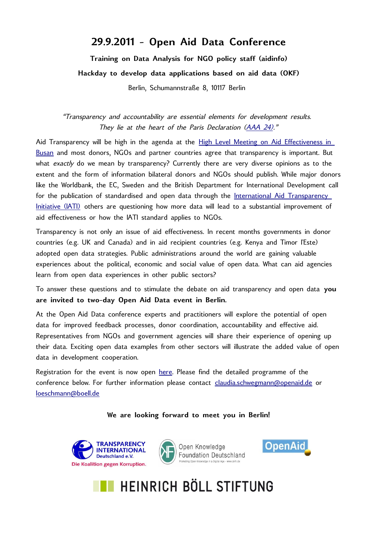## **29.9.2011 - Open Aid Data Conference**

**Training on Data Analysis for NGO policy staff (aidinfo) Hackday to develop data applications based on aid data (OKF)** Berlin, Schumannstraße 8, 10117 Berlin

"Transparency and accountability are essential elements for development results. They lie at the heart of the Paris Declaration [\(AAA 24\).](http://www.oecd.org/dataoecd/58/16/41202012.pdf)"

Aid Transparency will be high in the agenda at the [High Level Meeting on Aid Effectiveness in](http://www.oecd.org/document/12/0,3746,en_2649_3236398_46057868_1_1_1_1,00.html) [Busan](http://www.oecd.org/document/12/0,3746,en_2649_3236398_46057868_1_1_1_1,00.html) and most donors, NGOs and partner countries agree that transparency is important. But what exactly do we mean by transparency? Currently there are very diverse opinions as to the extent and the form of information bilateral donors and NGOs should publish. While major donors like the Worldbank, the EC, Sweden and the British Department for International Development call for the publication of standardised and open data through the [International Aid Transparency](http://www.aidtransparency.net/) [Initiative \(IATI\)](http://www.aidtransparency.net/) others are questioning how more data will lead to a substantial improvement of aid effectiveness or how the IATI standard applies to NGOs.

Transparency is not only an issue of aid effectiveness. In recent months governments in donor countries (e.g. UK and Canada) and in aid recipient countries (e.g. Kenya and Timor l'Este) adopted open data strategies. Public administrations around the world are gaining valuable experiences about the political, economic and social value of open data. What can aid agencies learn from open data experiences in other public sectors?

To answer these questions and to stimulate the debate on aid transparency and open data **you are invited to two-day Open Aid Data event in Berlin.**

At the Open Aid Data conference experts and practitioners will explore the potential of open data for improved feedback processes, donor coordination, accountability and effective aid. Representatives from NGOs and government agencies will share their experience of opening up their data. Exciting open data examples from other sectors will illustrate the added value of open data in development cooperation.

Registration for the event is now open [here.](http://www.boell.de/calendar/VA-viewevt-de.aspx?evtid=10058&returnurl=/index.html) Please find the detailed programme of the conference below. For further information please contact [claudia.schwegmann@openaid.de](mailto:claudia.schwegmann@openaid.de) or [loeschmann@boell.de](mailto:loeschmann@boell.de)

**We are looking forward to meet you in Berlin!**





Open Knowledge **Foundation Deutschland**